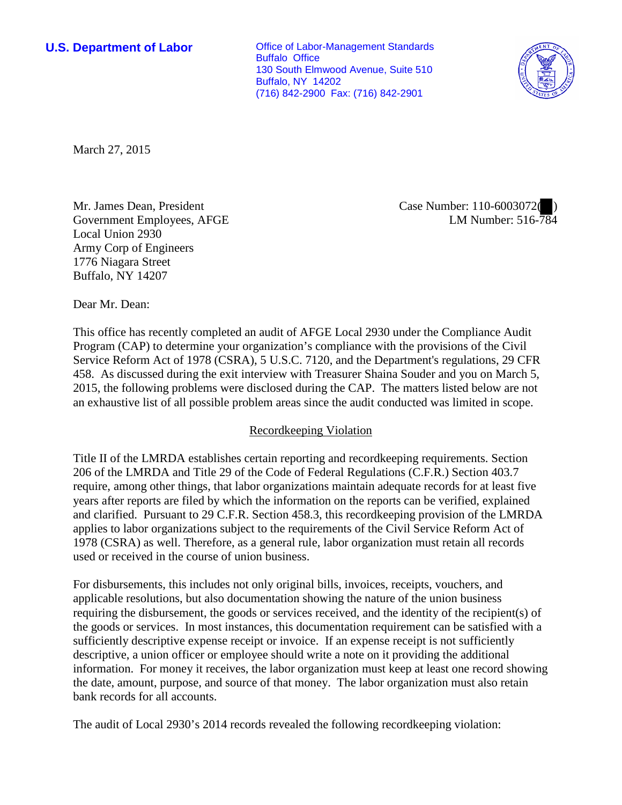**U.S. Department of Labor Conservative Conservative Conservative Conservative Conservative Conservative Conservative Conservative Conservative Conservative Conservative Conservative Conservative Conservative Conservative** Buffalo Office 130 South Elmwood Avenue, Suite 510 Buffalo, NY 14202 (716) 842-2900 Fax: (716) 842-2901



March 27, 2015

Mr. James Dean, President Government Employees, AFGE Local Union 2930 Army Corp of Engineers 1776 Niagara Street Buffalo, NY 14207

Case Number: 110-6003072( ) LM Number: 516-784

Dear Mr. Dean:

This office has recently completed an audit of AFGE Local 2930 under the Compliance Audit Program (CAP) to determine your organization's compliance with the provisions of the Civil Service Reform Act of 1978 (CSRA), 5 U.S.C. 7120, and the Department's regulations, 29 CFR 458. As discussed during the exit interview with Treasurer Shaina Souder and you on March 5, 2015, the following problems were disclosed during the CAP. The matters listed below are not an exhaustive list of all possible problem areas since the audit conducted was limited in scope.

## Recordkeeping Violation

Title II of the LMRDA establishes certain reporting and recordkeeping requirements. Section 206 of the LMRDA and Title 29 of the Code of Federal Regulations (C.F.R.) Section 403.7 require, among other things, that labor organizations maintain adequate records for at least five years after reports are filed by which the information on the reports can be verified, explained and clarified. Pursuant to 29 C.F.R. Section 458.3, this recordkeeping provision of the LMRDA applies to labor organizations subject to the requirements of the Civil Service Reform Act of 1978 (CSRA) as well. Therefore, as a general rule, labor organization must retain all records used or received in the course of union business.

For disbursements, this includes not only original bills, invoices, receipts, vouchers, and applicable resolutions, but also documentation showing the nature of the union business requiring the disbursement, the goods or services received, and the identity of the recipient(s) of the goods or services. In most instances, this documentation requirement can be satisfied with a sufficiently descriptive expense receipt or invoice. If an expense receipt is not sufficiently descriptive, a union officer or employee should write a note on it providing the additional information. For money it receives, the labor organization must keep at least one record showing the date, amount, purpose, and source of that money. The labor organization must also retain bank records for all accounts.

The audit of Local 2930's 2014 records revealed the following recordkeeping violation: